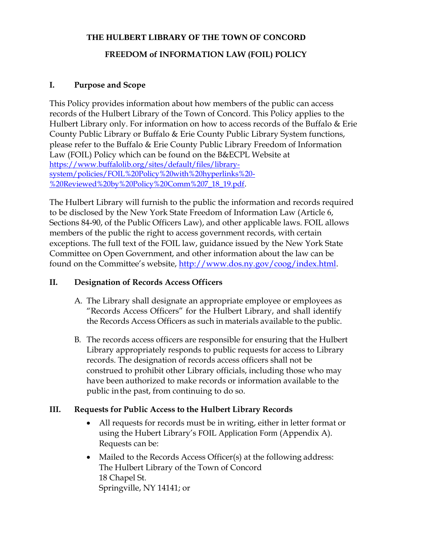### **THE HULBERT LIBRARY OF THE TOWN OF CONCORD**

# **FREEDOM of INFORMATION LAW (FOIL) POLICY**

## **I. Purpose and Scope**

This Policy provides information about how members of the public can access records of the Hulbert Library of the Town of Concord. This Policy applies to the Hulbert Library only. For information on how to access records of the Buffalo & Erie County Public Library or Buffalo & Erie County Public Library System functions, please refer to the Buffalo & Erie County Public Library Freedom of Information Law (FOIL) Policy which can be found on the B&ECPL Website at [https://www.buffalolib.org/sites/default/files/library](https://www.buffalolib.org/sites/default/files/library-system/policies/FOIL%20Policy%20with%20hyperlinks%20-%20Reviewed%20by%20Policy%20Comm%207_18_19.pdf)[system/policies/FOIL%20Policy%20with%20hyperlinks%20-](https://www.buffalolib.org/sites/default/files/library-system/policies/FOIL%20Policy%20with%20hyperlinks%20-%20Reviewed%20by%20Policy%20Comm%207_18_19.pdf) [%20Reviewed%20by%20Policy%20Comm%207\\_18\\_19.pdf](https://www.buffalolib.org/sites/default/files/library-system/policies/FOIL%20Policy%20with%20hyperlinks%20-%20Reviewed%20by%20Policy%20Comm%207_18_19.pdf).

The Hulbert Library will furnish to the public the information and records required to be disclosed by the New York State Freedom of Information Law (Article 6, Sections 84-90, of the Public Officers Law), and other applicable laws. FOIL allows members of the public the right to access government records, with certain exceptions. The full text of the FOIL law, guidance issued by the New York State Committee on Open Government, and other information about the law can be found on the Committee's website, [http://www.dos.ny.gov/coog/index.html.](http://www.dos.ny.gov/coog/index.html)

## **II. Designation of Records Access Officers**

- A. The Library shall designate an appropriate employee or employees as "Records Access Officers" for the Hulbert Library, and shall identify the Records Access Officers as such in materials available to the public.
- B. The records access officers are responsible for ensuring that the Hulbert Library appropriately responds to public requests for access to Library records. The designation of records access officers shall not be construed to prohibit other Library officials, including those who may have been authorized to make records or information available to the public inthe past, from continuing to do so.

## **III. Requests for Public Access to the Hulbert Library Records**

- All requests for records must be in writing, either in letter format or using the Hubert Library's FOIL Application Form (Appendix A). Requests can be:
- Mailed to the Records Access Officer(s) at the following address: The Hulbert Library of the Town of Concord 18 Chapel St. Springville, NY 14141; or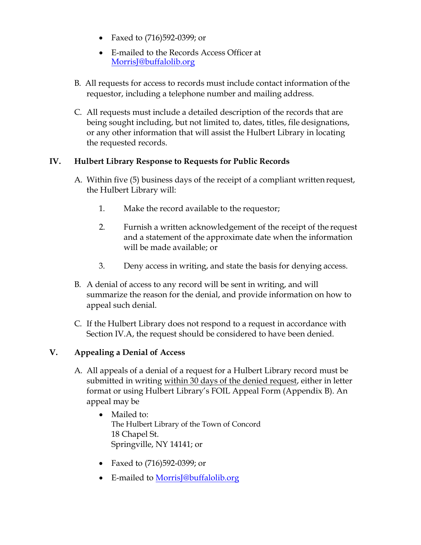- Faxed to (716)592-0399; or
- E-mailed to the Records Access Officer at [MorrisJ@buffalolib.org](mailto:MorrisJ@buffalolib.org)
- B. All requests for access to records must include contact information of the requestor, including a telephone number and mailing address.
- C. All requests must include a detailed description of the records that are being sought including, but not limited to, dates, titles, file designations, or any other information that will assist the Hulbert Library in locating the requested records.

# **IV. Hulbert Library Response to Requests for Public Records**

- A. Within five (5) business days of the receipt of a compliant written request, the Hulbert Library will:
	- 1. Make the record available to the requestor;
	- 2. Furnish a written acknowledgement of the receipt of the request and a statement of the approximate date when the information will be made available; or
	- 3. Deny access in writing, and state the basis for denying access.
- B. A denial of access to any record will be sent in writing, and will summarize the reason for the denial, and provide information on how to appeal such denial.
- C. If the Hulbert Library does not respond to a request in accordance with Section IV.A, the request should be considered to have been denied.

## **V. Appealing a Denial of Access**

- A. All appeals of a denial of a request for a Hulbert Library record must be submitted in writing within 30 days of the denied request, either in letter format or using Hulbert Library's FOIL Appeal Form (Appendix B). An appeal may be
	- Mailed to: The Hulbert Library of the Town of Concord 18 Chapel St. Springville, NY 14141; or
	- Faxed to (716)592-0399; or
	- E-mailed to [MorrisJ@buffalolib.org](mailto:MorrisJ@buffalolib.org)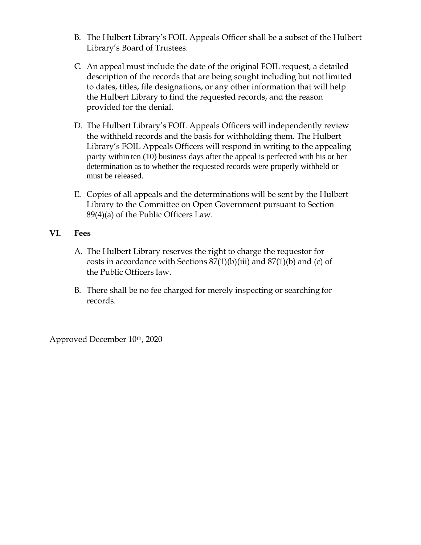- B. The Hulbert Library's FOIL Appeals Officer shall be a subset of the Hulbert Library's Board of Trustees.
- C. An appeal must include the date of the original FOIL request, a detailed description of the records that are being sought including but notlimited to dates, titles, file designations, or any other information that will help the Hulbert Library to find the requested records, and the reason provided for the denial.
- D. The Hulbert Library's FOIL Appeals Officers will independently review the withheld records and the basis for withholding them. The Hulbert Library's FOIL Appeals Officers will respond in writing to the appealing party within ten (10) business days after the appeal is perfected with his or her determination as to whether the requested records were properly withheld or must be released.
- E. Copies of all appeals and the determinations will be sent by the Hulbert Library to the Committee on Open Government pursuant to Section 89(4)(a) of the Public Officers Law.

## **VI. Fees**

- A. The Hulbert Library reserves the right to charge the requestor for costs in accordance with Sections  $87(1)(b)(iii)$  and  $87(1)(b)$  and (c) of the Public Officers law.
- B. There shall be no fee charged for merely inspecting or searching for records.

Approved December 10th, 2020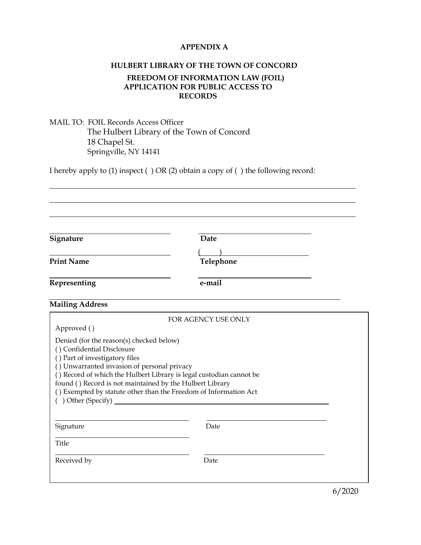#### **APPENDIX A**

#### **HULBERT LIBRARY OF THE TOWN OF CONCORD**

#### **FREEDOM OF INFORMATION LAW (FOIL) APPLICATION FOR PUBLIC ACCESS TO RECORDS**

### MAIL TO: FOIL Records Access Officer The Hulbert Library of the Town of Concord 18 Chapel St. Springville, NY 14141

I hereby apply to (1) inspect ( ) OR (2) obtain a copy of ( ) the following record:

| Signature                                                                                                                                                                                                           | Date                                                                                                                                    |  |
|---------------------------------------------------------------------------------------------------------------------------------------------------------------------------------------------------------------------|-----------------------------------------------------------------------------------------------------------------------------------------|--|
| <b>Print Name</b>                                                                                                                                                                                                   | Telephone                                                                                                                               |  |
| Representing                                                                                                                                                                                                        | e-mail                                                                                                                                  |  |
| <b>Mailing Address</b>                                                                                                                                                                                              |                                                                                                                                         |  |
| Approved ()                                                                                                                                                                                                         | FOR AGENCY USE ONLY                                                                                                                     |  |
| Denied (for the reason(s) checked below)<br>() Confidential Disclosure<br>() Part of investigatory files<br>() Unwarranted invasion of personal privacy<br>found () Record is not maintained by the Hulbert Library | () Record of which the Hulbert Library is legal custodian cannot be<br>() Exempted by statute other than the Freedom of Information Act |  |
| Signature                                                                                                                                                                                                           | Date                                                                                                                                    |  |
| <b>Title</b>                                                                                                                                                                                                        |                                                                                                                                         |  |
|                                                                                                                                                                                                                     |                                                                                                                                         |  |